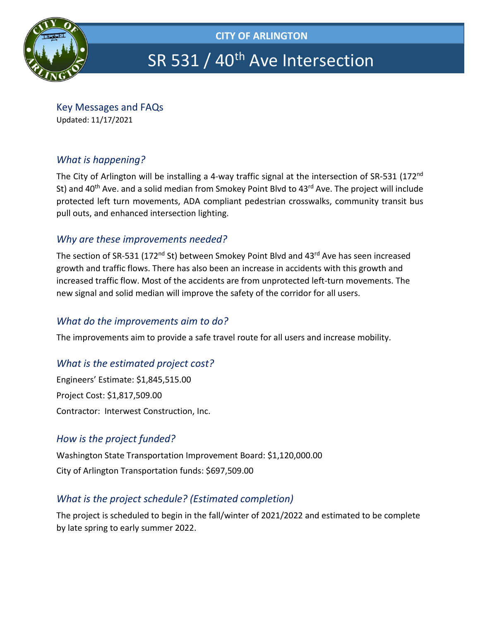

# SR 531 / 40<sup>th</sup> Ave Intersection

Key Messages and FAQs Updated: 11/17/2021

## *What is happening?*

The City of Arlington will be installing a 4-way traffic signal at the intersection of SR-531 (172<sup>nd</sup> St) and 40<sup>th</sup> Ave. and a solid median from Smokey Point Blvd to 43<sup>rd</sup> Ave. The project will include protected left turn movements, ADA compliant pedestrian crosswalks, community transit bus pull outs, and enhanced intersection lighting.

## *Why are these improvements needed?*

The section of SR-531 (172<sup>nd</sup> St) between Smokey Point Blvd and 43<sup>rd</sup> Ave has seen increased growth and traffic flows. There has also been an increase in accidents with this growth and increased traffic flow. Most of the accidents are from unprotected left-turn movements. The new signal and solid median will improve the safety of the corridor for all users.

## *What do the improvements aim to do?*

The improvements aim to provide a safe travel route for all users and increase mobility.

## *What is the estimated project cost?*

Engineers' Estimate: \$1,845,515.00 Project Cost: \$1,817,509.00 Contractor: Interwest Construction, Inc.

## *How is the project funded?*

Washington State Transportation Improvement Board: \$1,120,000.00 City of Arlington Transportation funds: \$697,509.00

## *What is the project schedule? (Estimated completion)*

The project is scheduled to begin in the fall/winter of 2021/2022 and estimated to be complete by late spring to early summer 2022.